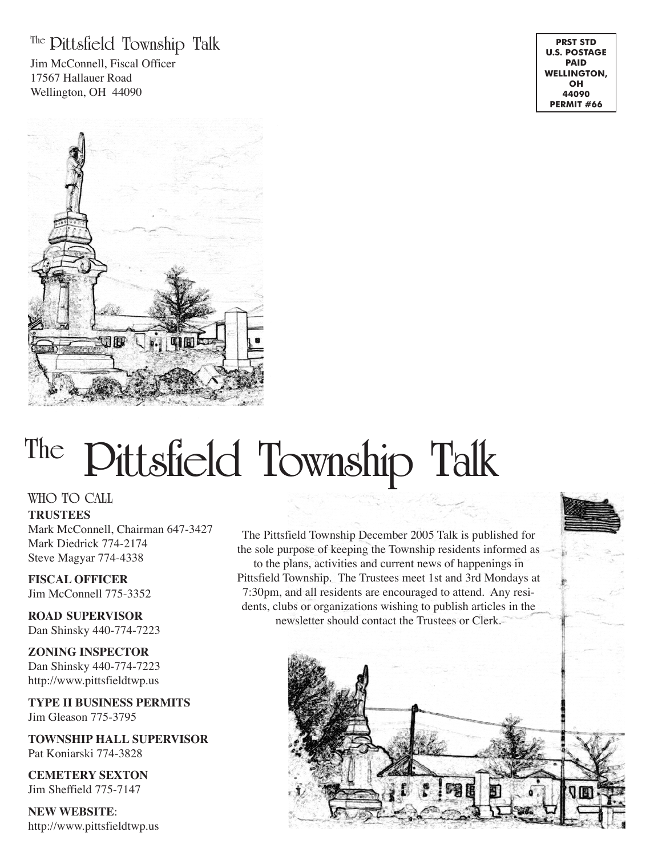### **The Pittsfield Township Talk**

Jim McConnell, Fiscal Officer 17567 Hallauer Road Wellington, OH 44090

**PRST STD U.S. POSTAGE PAID WELLINGTON, OH 44090 PERMIT #66**



# **The Pittsfield Township Talk**

**WHO TO CALL**

**TRUSTEES** Mark McConnell, Chairman 647-3427 Mark Diedrick 774-2174 Steve Magyar 774-4338

**FISCAL OFFICER** Jim McConnell 775-3352

**ROAD SUPERVISOR** Dan Shinsky 440-774-7223

**ZONING INSPECTOR** Dan Shinsky 440-774-7223 http://www.pittsfieldtwp.us

**TYPE II BUSINESS PERMITS** Jim Gleason 775-3795

**TOWNSHIP HALL SUPERVISOR** Pat Koniarski 774-3828

**CEMETERY SEXTON** Jim Sheffield 775-7147

**NEW WEBSITE**: http://www.pittsfieldtwp.us

The Pittsfield Township December 2005 Talk is published for the sole purpose of keeping the Township residents informed as to the plans, activities and current news of happenings in Pittsfield Township. The Trustees meet 1st and 3rd Mondays at 7:30pm, and all residents are encouraged to attend. Any residents, clubs or organizations wishing to publish articles in the newsletter should contact the Trustees or Clerk.

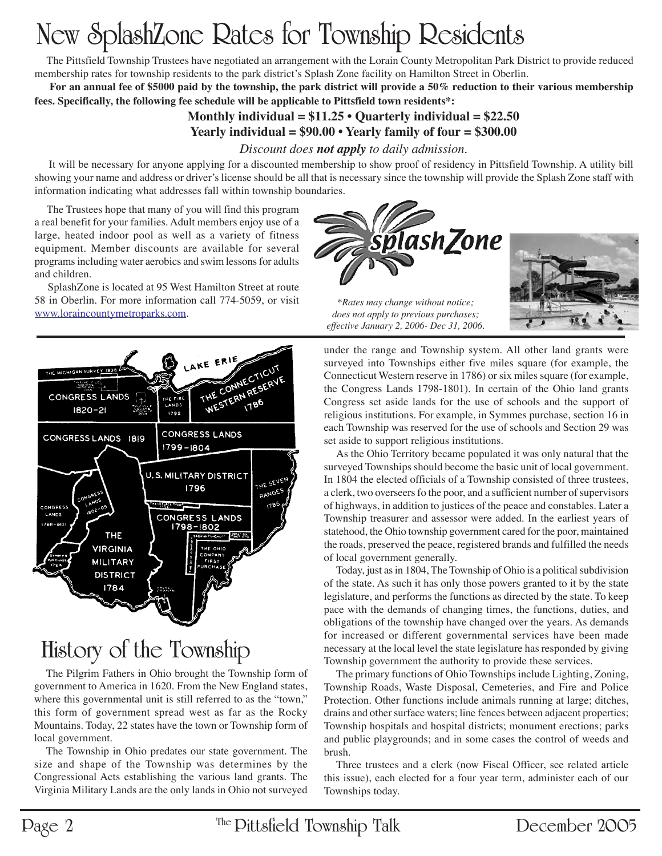## **New SplashZone Rates for Township Residents**

 The Pittsfield Township Trustees have negotiated an arrangement with the Lorain County Metropolitan Park District to provide reduced membership rates for township residents to the park district's Splash Zone facility on Hamilton Street in Oberlin.

 **For an annual fee of \$5000 paid by the township, the park district will provide a 50% reduction to their various membership fees. Specifically, the following fee schedule will be applicable to Pittsfield town residents\*:**

#### **Monthly individual = \$11.25 • Quarterly individual = \$22.50 Yearly individual = \$90.00 • Yearly family of four = \$300.00**

#### *Discount does not apply to daily admission.*

 It will be necessary for anyone applying for a discounted membership to show proof of residency in Pittsfield Township. A utility bill showing your name and address or driver's license should be all that is necessary since the township will provide the Splash Zone staff with information indicating what addresses fall within township boundaries.

 The Trustees hope that many of you will find this program a real benefit for your families. Adult members enjoy use of a large, heated indoor pool as well as a variety of fitness equipment. Member discounts are available for several programs including water aerobics and swim lessons for adults and children.

 SplashZone is located at 95 West Hamilton Street at route 58 in Oberlin. For more information call 774-5059, or visit www.loraincountymetroparks.com.



## **History of the Township**

The Pilgrim Fathers in Ohio brought the Township form of government to America in 1620. From the New England states, where this governmental unit is still referred to as the "town," this form of government spread west as far as the Rocky Mountains. Today, 22 states have the town or Township form of local government.

The Township in Ohio predates our state government. The size and shape of the Township was determines by the Congressional Acts establishing the various land grants. The Virginia Military Lands are the only lands in Ohio not surveyed





*\*Rates may change without notice; does not apply to previous purchases; effective January 2, 2006- Dec 31, 2006.*

under the range and Township system. All other land grants were surveyed into Townships either five miles square (for example, the Connecticut Western reserve in 1786) or six miles square (for example, the Congress Lands 1798-1801). In certain of the Ohio land grants Congress set aside lands for the use of schools and the support of religious institutions. For example, in Symmes purchase, section 16 in each Township was reserved for the use of schools and Section 29 was set aside to support religious institutions.

As the Ohio Territory became populated it was only natural that the surveyed Townships should become the basic unit of local government. In 1804 the elected officials of a Township consisted of three trustees, a clerk, two overseers fo the poor, and a sufficient number of supervisors of highways, in addition to justices of the peace and constables. Later a Township treasurer and assessor were added. In the earliest years of statehood, the Ohio township government cared for the poor, maintained the roads, preserved the peace, registered brands and fulfilled the needs of local government generally.

Today, just as in 1804, The Township of Ohio is a political subdivision of the state. As such it has only those powers granted to it by the state legislature, and performs the functions as directed by the state. To keep pace with the demands of changing times, the functions, duties, and obligations of the township have changed over the years. As demands for increased or different governmental services have been made necessary at the local level the state legislature has responded by giving Township government the authority to provide these services.

The primary functions of Ohio Townships include Lighting, Zoning, Township Roads, Waste Disposal, Cemeteries, and Fire and Police Protection. Other functions include animals running at large; ditches, drains and other surface waters; line fences between adjacent properties; Township hospitals and hospital districts; monument erections; parks and public playgrounds; and in some cases the control of weeds and brush.

Three trustees and a clerk (now Fiscal Officer, see related article this issue), each elected for a four year term, administer each of our Townships today.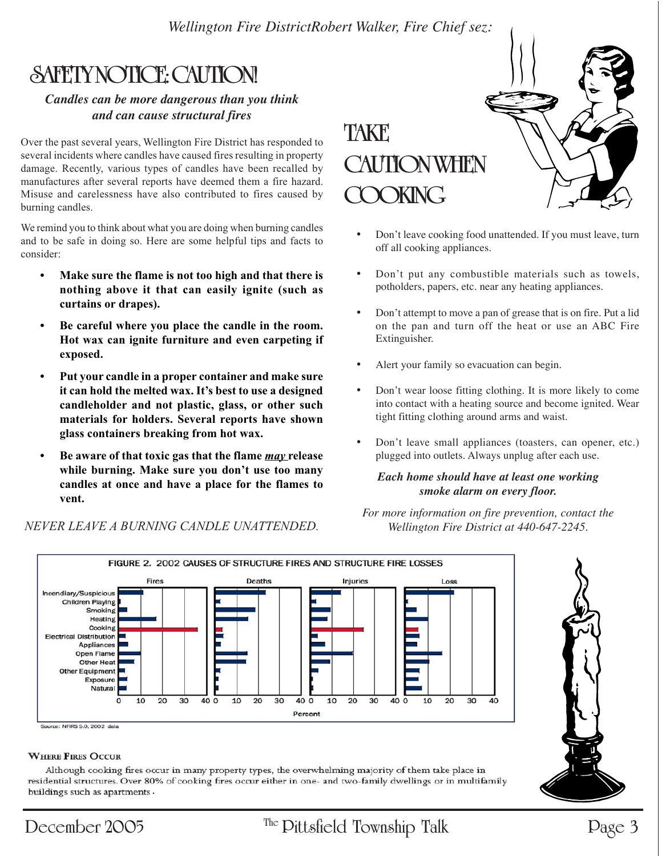*Wellington Fire DistrictRobert Walker, Fire Chief sez:*

## **SAFETY NOTICE: CAUTION!**

#### *Candles can be more dangerous than you think and can cause structural fires*

Over the past several years, Wellington Fire District has responded to several incidents where candles have caused fires resulting in property damage. Recently, various types of candles have been recalled by manufactures after several reports have deemed them a fire hazard. Misuse and carelessness have also contributed to fires caused by burning candles.

We remind you to think about what you are doing when burning candles and to be safe in doing so. Here are some helpful tips and facts to consider:

- Make sure the flame is not too high and that there is nothing above it that can easily ignite (such as curtains or drapes).
- Be careful where you place the candle in the room. Hot wax can ignite furniture and even carpeting if exposed.
- Put your candle in a proper container and make sure it can hold the melted wax. It's best to use a designed candleholder and not plastic, glass, or other such materials for holders. Several reports have shown glass containers breaking from hot wax.
- Be aware of that toxic gas that the flame *may* release while burning. Make sure you don't use too many candles at once and have a place for the flames to vent.

NEVER LEAVE A BURNING CANDLE UNATTENDED.



- Don't leave cooking food unattended. If you must leave, turn off all cooking appliances.
- Don't put any combustible materials such as towels, potholders, papers, etc. near any heating appliances.
- Don't attempt to move a pan of grease that is on fire. Put a lid on the pan and turn off the heat or use an ABC Fire Extinguisher.
- Alert your family so evacuation can begin.
- Don't wear loose fitting clothing. It is more likely to come into contact with a heating source and become ignited. Wear tight fitting clothing around arms and waist.
- Don't leave small appliances (toasters, can opener, etc.) plugged into outlets. Always unplug after each use.

#### *Each home should have at least one working smoke alarm on every floor.*

*For more information on fire prevention, contact the Wellington Fire District at 440-647-2245.*



#### **WHERE FIRES OCCUR**

Although cooking fires occur in many property types, the overwhelming majority of them take place in residential structures. Over 80% of cooking fires occur either in one- and two-family dwellings or in multifamily<br>buildings such as apartments